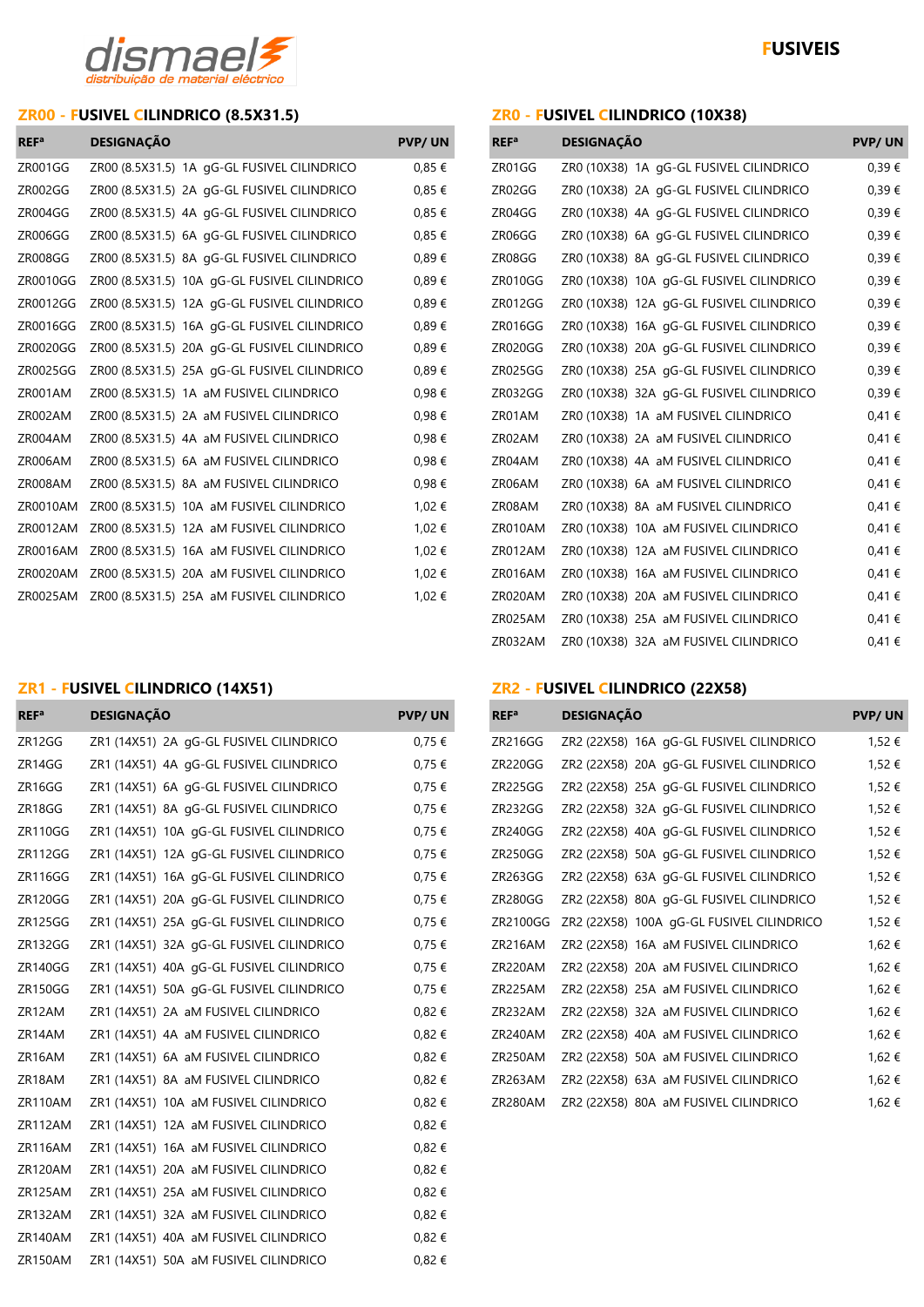

# **ZR00 - FUSIVEL CILINDRICO (8.5X31.5) ZR0 - FUSIVEL CILINDRICO (10X38)**

| <b>REF</b> <sup>a</sup> | <b>DESIGNAÇÃO</b>                            | <b>PVP/UN</b> | REF <sup>a</sup> | <b>DESIGNAÇÃO</b>                        | <b>PVP/UN</b> |
|-------------------------|----------------------------------------------|---------------|------------------|------------------------------------------|---------------|
| ZR001GG                 | ZR00 (8.5X31.5) 1A gG-GL FUSIVEL CILINDRICO  | $0.85 \in$    | ZR01GG           | ZR0 (10X38) 1A gG-GL FUSIVEL CILINDRICO  | 0,39€         |
| ZR002GG                 | ZR00 (8.5X31.5) 2A gG-GL FUSIVEL CILINDRICO  | 0,85€         | ZR02GG           | ZR0 (10X38) 2A gG-GL FUSIVEL CILINDRICO  | 0,39€         |
| ZR004GG                 | ZR00 (8.5X31.5) 4A gG-GL FUSIVEL CILINDRICO  | $0.85 \in$    | ZR04GG           | ZR0 (10X38) 4A qG-GL FUSIVEL CILINDRICO  | 0,39€         |
| ZR006GG                 | ZR00 (8.5X31.5) 6A gG-GL FUSIVEL CILINDRICO  | 0,85€         | ZR06GG           | ZR0 (10X38) 6A gG-GL FUSIVEL CILINDRICO  | 0,39€         |
| ZR008GG                 | ZR00 (8.5X31.5) 8A gG-GL FUSIVEL CILINDRICO  | 0,89€         | ZR08GG           | ZR0 (10X38) 8A qG-GL FUSIVEL CILINDRICO  | 0,39€         |
| ZR0010GG                | ZR00 (8.5X31.5) 10A gG-GL FUSIVEL CILINDRICO | 0,89€         | ZR010GG          | ZR0 (10X38) 10A gG-GL FUSIVEL CILINDRICO | 0,39€         |
| ZR0012GG                | ZR00 (8.5X31.5) 12A gG-GL FUSIVEL CILINDRICO | 0,89€         | ZR012GG          | ZR0 (10X38) 12A gG-GL FUSIVEL CILINDRICO | 0,39€         |
| ZR0016GG                | ZR00 (8.5X31.5) 16A gG-GL FUSIVEL CILINDRICO | 0,89€         | ZR016GG          | ZR0 (10X38) 16A gG-GL FUSIVEL CILINDRICO | 0,39€         |
| ZR0020GG                | ZR00 (8.5X31.5) 20A gG-GL FUSIVEL CILINDRICO | 0,89€         | ZR020GG          | ZR0 (10X38) 20A qG-GL FUSIVEL CILINDRICO | 0,39€         |
| ZR0025GG                | ZR00 (8.5X31.5) 25A qG-GL FUSIVEL CILINDRICO | 0,89€         | ZR025GG          | ZR0 (10X38) 25A gG-GL FUSIVEL CILINDRICO | 0,39€         |
| ZR001AM                 | ZR00 (8.5X31.5) 1A aM FUSIVEL CILINDRICO     | 0,98€         | ZR032GG          | ZR0 (10X38) 32A qG-GL FUSIVEL CILINDRICO | 0,39€         |
| ZR002AM                 | ZR00 (8.5X31.5) 2A aM FUSIVEL CILINDRICO     | 0,98€         | ZR01AM           | ZR0 (10X38) 1A aM FUSIVEL CILINDRICO     | 0,41€         |
| ZR004AM                 | ZR00 (8.5X31.5) 4A aM FUSIVEL CILINDRICO     | 0,98€         | ZR02AM           | ZR0 (10X38) 2A aM FUSIVEL CILINDRICO     | 0,41€         |
| ZR006AM                 | ZR00 (8.5X31.5) 6A aM FUSIVEL CILINDRICO     | 0,98€         | ZR04AM           | ZR0 (10X38) 4A aM FUSIVEL CILINDRICO     | 0,41€         |
| ZR008AM                 | ZR00 (8.5X31.5) 8A aM FUSIVEL CILINDRICO     | 0,98€         | ZR06AM           | ZR0 (10X38) 6A aM FUSIVEL CILINDRICO     | 0,41€         |
| ZR0010AM                | ZR00 (8.5X31.5) 10A aM FUSIVEL CILINDRICO    | 1,02 €        | ZR08AM           | ZR0 (10X38) 8A aM FUSIVEL CILINDRICO     | 0,41€         |
| ZR0012AM                | ZR00 (8.5X31.5) 12A aM FUSIVEL CILINDRICO    | 1,02 €        | ZR010AM          | ZRO (10X38) 10A aM FUSIVEL CILINDRICO    | 0,41€         |
| ZR0016AM                | ZR00 (8.5X31.5) 16A aM FUSIVEL CILINDRICO    | 1,02 €        | ZR012AM          | ZRO (10X38) 12A aM FUSIVEL CILINDRICO    | 0,41€         |
| ZR0020AM                | ZR00 (8.5X31.5) 20A aM FUSIVEL CILINDRICO    | 1,02 €        | ZR016AM          | ZR0 (10X38) 16A aM FUSIVEL CILINDRICO    | 0,41 €        |
| ZR0025AM                | ZR00 (8.5X31.5) 25A aM FUSIVEL CILINDRICO    | 1,02 €        | ZR020AM          | ZR0 (10X38) 20A aM FUSIVEL CILINDRICO    | 0,41€         |
|                         |                                              |               |                  |                                          |               |

| <b>REF</b> <sup>a</sup> | <b>DESIGNAÇÃO</b>                        | <b>PVP/UN</b> |
|-------------------------|------------------------------------------|---------------|
| ZR01GG                  | ZR0 (10X38) 1A gG-GL FUSIVEL CILINDRICO  | 0,39€         |
| ZR02GG                  | ZR0 (10X38) 2A gG-GL FUSIVEL CILINDRICO  | 0,39€         |
| ZR04GG                  | ZR0 (10X38) 4A qG-GL FUSIVEL CILINDRICO  | 0,39€         |
| ZR06GG                  | ZR0 (10X38) 6A gG-GL FUSIVEL CILINDRICO  | 0,39€         |
| ZR08GG                  | ZR0 (10X38) 8A gG-GL FUSIVEL CILINDRICO  | 0,39€         |
| ZR010GG                 | ZR0 (10X38) 10A gG-GL FUSIVEL CILINDRICO | 0,39€         |
| ZR012GG                 | ZR0 (10X38) 12A qG-GL FUSIVEL CILINDRICO | 0,39€         |
| <b>ZR016GG</b>          | ZR0 (10X38) 16A qG-GL FUSIVEL CILINDRICO | 0,39€         |
| ZR020GG                 | ZR0 (10X38) 20A gG-GL FUSIVEL CILINDRICO | 0,39€         |
| ZR025GG                 | ZR0 (10X38) 25A qG-GL FUSIVEL CILINDRICO | 0,39€         |
| ZR032GG                 | ZR0 (10X38) 32A qG-GL FUSIVEL CILINDRICO | 0,39€         |
| ZR01AM                  | ZR0 (10X38) 1A aM FUSIVEL CILINDRICO     | 0.41€         |
| ZR02AM                  | ZR0 (10X38) 2A aM FUSIVEL CILINDRICO     | 0,41€         |
| ZR04AM                  | ZR0 (10X38) 4A aM FUSIVEL CILINDRICO     | 0,41€         |
| ZR06AM                  | ZR0 (10X38) 6A aM FUSIVEL CILINDRICO     | 0,41€         |
| ZR08AM                  | ZR0 (10X38) 8A aM FUSIVEL CILINDRICO     | 0,41€         |
| ZR010AM                 | ZR0 (10X38) 10A aM FUSIVEL CILINDRICO    | 0,41€         |
| ZR012AM                 | ZR0 (10X38) 12A aM FUSIVEL CILINDRICO    | 0,41€         |
| ZR016AM                 | ZR0 (10X38) 16A aM FUSIVEL CILINDRICO    | 0,41€         |
| ZR020AM                 | ZRO (10X38) 20A aM FUSIVEL CILINDRICO    | 0,41€         |
| ZR025AM                 | ZR0 (10X38) 25A aM FUSIVEL CILINDRICO    | 0,41€         |
| ZR032AM                 | ZR0 (10X38) 32A aM FUSIVEL CILINDRICO    | 0,41€         |

|                  | ZR1 - FUSIVEL CILINDRICO (14X51)         | ZR2 - FUSIVEL CILINDRICO (22X58) |                  |                                                    |               |
|------------------|------------------------------------------|----------------------------------|------------------|----------------------------------------------------|---------------|
| REF <sup>a</sup> | <b>DESIGNAÇÃO</b>                        | <b>PVP/UN</b>                    | REF <sup>a</sup> | <b>DESIGNAÇÃO</b>                                  | <b>PVP/UN</b> |
| ZR12GG           | ZR1 (14X51) 2A gG-GL FUSIVEL CILINDRICO  | 0,75€                            | ZR216GG          | ZR2 (22X58) 16A gG-GL FUSIVEL CILINDRICO           | 1,52 €        |
| ZR14GG           | ZR1 (14X51) 4A gG-GL FUSIVEL CILINDRICO  | 0,75€                            | ZR220GG          | ZR2 (22X58) 20A gG-GL FUSIVEL CILINDRICO           | 1,52 €        |
| ZR16GG           | ZR1 (14X51) 6A gG-GL FUSIVEL CILINDRICO  | 0,75€                            | ZR225GG          | ZR2 (22X58) 25A gG-GL FUSIVEL CILINDRICO           | 1,52 €        |
| ZR18GG           | ZR1 (14X51) 8A qG-GL FUSIVEL CILINDRICO  | 0,75€                            | ZR232GG          | ZR2 (22X58) 32A qG-GL FUSIVEL CILINDRICO           | 1,52 €        |
| <b>ZR110GG</b>   | ZR1 (14X51) 10A gG-GL FUSIVEL CILINDRICO | 0,75€                            | ZR240GG          | ZR2 (22X58) 40A gG-GL FUSIVEL CILINDRICO           | 1,52 €        |
| <b>ZR112GG</b>   | ZR1 (14X51) 12A gG-GL FUSIVEL CILINDRICO | 0,75€                            | ZR250GG          | ZR2 (22X58) 50A gG-GL FUSIVEL CILINDRICO           | 1,52 €        |
| <b>ZR116GG</b>   | ZR1 (14X51) 16A gG-GL FUSIVEL CILINDRICO | 0,75€                            | ZR263GG          | ZR2 (22X58) 63A qG-GL FUSIVEL CILINDRICO           | 1,52 €        |
| ZR120GG          | ZR1 (14X51) 20A gG-GL FUSIVEL CILINDRICO | 0,75 €                           | ZR280GG          | ZR2 (22X58) 80A gG-GL FUSIVEL CILINDRICO           | 1,52 €        |
| <b>ZR125GG</b>   | ZR1 (14X51) 25A qG-GL FUSIVEL CILINDRICO | $0,75 \in$                       |                  | ZR2100GG ZR2 (22X58) 100A gG-GL FUSIVEL CILINDRICO | 1,52 €        |
| ZR132GG          | ZR1 (14X51) 32A qG-GL FUSIVEL CILINDRICO | 0,75€                            | ZR216AM          | ZR2 (22X58) 16A aM FUSIVEL CILINDRICO              | 1,62 €        |
| <b>ZR140GG</b>   | ZR1 (14X51) 40A gG-GL FUSIVEL CILINDRICO | 0,75€                            | ZR220AM          | ZR2 (22X58) 20A aM FUSIVEL CILINDRICO              | 1,62 €        |
| <b>ZR150GG</b>   | ZR1 (14X51) 50A gG-GL FUSIVEL CILINDRICO | 0,75€                            | ZR225AM          | ZR2 (22X58) 25A aM FUSIVEL CILINDRICO              | 1,62 €        |
| ZR12AM           | ZR1 (14X51) 2A aM FUSIVEL CILINDRICO     | $0,82 \in$                       | ZR232AM          | ZR2 (22X58) 32A aM FUSIVEL CILINDRICO              | 1,62 €        |
| ZR14AM           | ZR1 (14X51) 4A aM FUSIVEL CILINDRICO     | $0,82 \in$                       | ZR240AM          | ZR2 (22X58) 40A aM FUSIVEL CILINDRICO              | 1,62 €        |
| ZR16AM           | ZR1 (14X51) 6A aM FUSIVEL CILINDRICO     | $0,82 \in$                       | ZR250AM          | ZR2 (22X58) 50A aM FUSIVEL CILINDRICO              | 1,62 €        |
| ZR18AM           | ZR1 (14X51) 8A aM FUSIVEL CILINDRICO     | $0,82 \in$                       | ZR263AM          | ZR2 (22X58) 63A aM FUSIVEL CILINDRICO              | 1,62 €        |
| ZR110AM          | ZR1 (14X51) 10A aM FUSIVEL CILINDRICO    | $0,82 \in$                       | ZR280AM          | ZR2 (22X58) 80A aM FUSIVEL CILINDRICO              | 1,62 €        |
| ZR112AM          | ZR1 (14X51) 12A aM FUSIVEL CILINDRICO    | $0,82 \in$                       |                  |                                                    |               |
| ZR116AM          | ZR1 (14X51) 16A aM FUSIVEL CILINDRICO    | $0,82 \in$                       |                  |                                                    |               |
| ZR120AM          | ZR1 (14X51) 20A aM FUSIVEL CILINDRICO    | $0,82 \in$                       |                  |                                                    |               |
| ZR125AM          | ZR1 (14X51) 25A aM FUSIVEL CILINDRICO    | $0,82 \in$                       |                  |                                                    |               |
| ZR132AM          | ZR1 (14X51) 32A aM FUSIVEL CILINDRICO    | $0,82 \in$                       |                  |                                                    |               |
| ZR140AM          | ZR1 (14X51) 40A aM FUSIVEL CILINDRICO    | $0,82 \notin$                    |                  |                                                    |               |
| ZR150AM          | ZR1 (14X51) 50A aM FUSIVEL CILINDRICO    | $0,82 \in$                       |                  |                                                    |               |

| <b>REF</b> <sup>a</sup> | <b>DESIGNAÇÃO</b> | <b>PVP/UN</b>                             |        |
|-------------------------|-------------------|-------------------------------------------|--------|
| ZR216GG                 |                   | ZR2 (22X58) 16A gG-GL FUSIVEL CILINDRICO  | 1,52 € |
| <b>ZR220GG</b>          |                   | ZR2 (22X58) 20A gG-GL FUSIVEL CILINDRICO  | 1,52 € |
| <b>ZR225GG</b>          |                   | ZR2 (22X58) 25A gG-GL FUSIVEL CILINDRICO  | 1,52 € |
| ZR232GG                 |                   | ZR2 (22X58) 32A gG-GL FUSIVEL CILINDRICO  | 1,52 € |
| ZR240GG                 |                   | ZR2 (22X58) 40A gG-GL FUSIVEL CILINDRICO  | 1,52 € |
| <b>ZR250GG</b>          |                   | ZR2 (22X58) 50A gG-GL FUSIVEL CILINDRICO  | 1,52 € |
| ZR263GG                 |                   | ZR2 (22X58) 63A gG-GL FUSIVEL CILINDRICO  | 1,52 € |
| <b>ZR280GG</b>          |                   | ZR2 (22X58) 80A gG-GL FUSIVEL CILINDRICO  | 1,52 € |
| ZR2100GG                |                   | ZR2 (22X58) 100A gG-GL FUSIVEL CILINDRICO | 1,52 € |
| ZR216AM                 |                   | ZR2 (22X58) 16A aM FUSIVEL CILINDRICO     | 1,62 € |
| ZR220AM                 |                   | ZR2 (22X58) 20A aM FUSIVEL CILINDRICO     | 1,62 € |
| ZR225AM                 |                   | ZR2 (22X58) 25A aM FUSIVEL CILINDRICO     | 1,62 € |
| ZR232AM                 |                   | ZR2 (22X58) 32A aM FUSIVEL CILINDRICO     | 1,62 € |
| ZR240AM                 |                   | ZR2 (22X58) 40A aM FUSIVEL CILINDRICO     | 1,62 € |
| ZR250AM                 |                   | ZR2 (22X58) 50A aM FUSIVEL CILINDRICO     | 1,62 € |
| ZR263AM                 |                   | ZR2 (22X58) 63A aM FUSIVEL CILINDRICO     | 1,62 € |
| ZR280AM                 |                   | ZR2 (22X58) 80A aM FUSIVEL CILINDRICO     | 1,62 € |
|                         |                   |                                           |        |